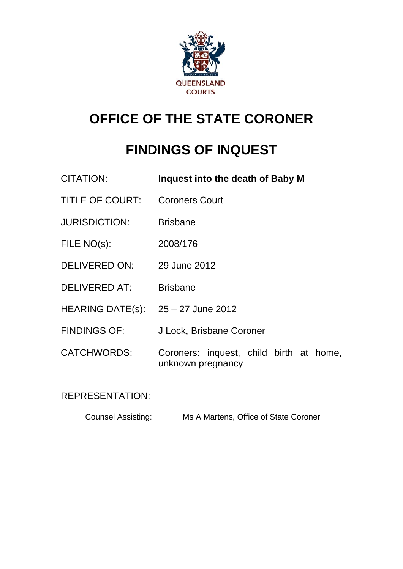

# **OFFICE OF THE STATE CORONER**

# **FINDINGS OF INQUEST**

| CITATION:               | Inquest into the death of Baby M                             |
|-------------------------|--------------------------------------------------------------|
| <b>TITLE OF COURT:</b>  | <b>Coroners Court</b>                                        |
| <b>JURISDICTION:</b>    | <b>Brisbane</b>                                              |
| FILE NO(s):             | 2008/176                                                     |
| <b>DELIVERED ON:</b>    | 29 June 2012                                                 |
| <b>DELIVERED AT:</b>    | <b>Brisbane</b>                                              |
| <b>HEARING DATE(s):</b> | 25 – 27 June 2012                                            |
| <b>FINDINGS OF:</b>     | J Lock, Brisbane Coroner                                     |
| <b>CATCHWORDS:</b>      | Coroners: inquest, child birth at home,<br>unknown pregnancy |

REPRESENTATION:

Counsel Assisting: Ms A Martens, Office of State Coroner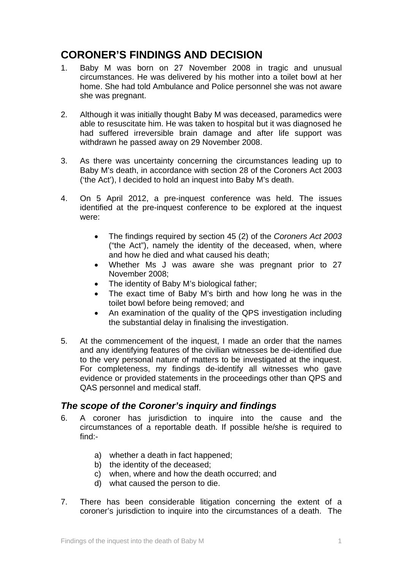# **CORONER'S FINDINGS AND DECISION**

- 1. Baby M was born on 27 November 2008 in tragic and unusual circumstances. He was delivered by his mother into a toilet bowl at her home. She had told Ambulance and Police personnel she was not aware she was pregnant.
- 2. Although it was initially thought Baby M was deceased, paramedics were able to resuscitate him. He was taken to hospital but it was diagnosed he had suffered irreversible brain damage and after life support was withdrawn he passed away on 29 November 2008.
- 3. As there was uncertainty concerning the circumstances leading up to Baby M's death, in accordance with section 28 of the Coroners Act 2003 ('the Act'), I decided to hold an inquest into Baby M's death.
- 4. On 5 April 2012, a pre-inquest conference was held. The issues identified at the pre-inquest conference to be explored at the inquest were:
	- The findings required by section 45 (2) of the *Coroners Act 2003* ("the Act"), namely the identity of the deceased, when, where and how he died and what caused his death;
	- Whether Ms J was aware she was pregnant prior to 27 November 2008;
	- The identity of Baby M's biological father;
	- The exact time of Baby M's birth and how long he was in the toilet bowl before being removed; and
	- An examination of the quality of the QPS investigation including the substantial delay in finalising the investigation.
- 5. At the commencement of the inquest, I made an order that the names and any identifying features of the civilian witnesses be de-identified due to the very personal nature of matters to be investigated at the inquest. For completeness, my findings de-identify all witnesses who gave evidence or provided statements in the proceedings other than QPS and QAS personnel and medical staff.

## *The scope of the Coroner's inquiry and findings*

- 6. A coroner has jurisdiction to inquire into the cause and the circumstances of a reportable death. If possible he/she is required to find:
	- a) whether a death in fact happened;
	- b) the identity of the deceased;
	- c) when, where and how the death occurred; and
	- d) what caused the person to die.
- <span id="page-1-0"></span>7. There has been considerable litigation concerning the extent of a coroner's jurisdiction to inquire into the circumstances of a death. The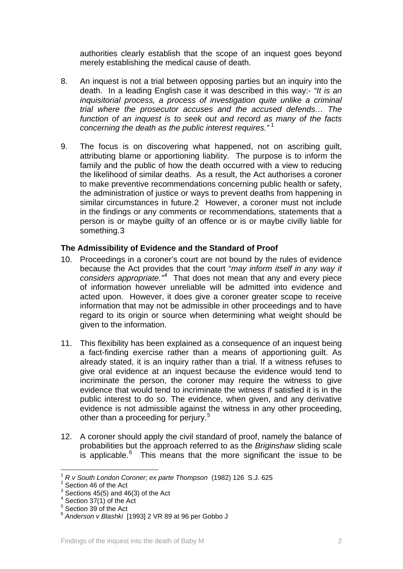authorities clearly establish that the scope of an inquest goes beyond merely establishing the medical cause of death.

- 8. An inquest is not a trial between opposing parties but an inquiry into the death. In a leading English case it was described in this way:- *"It is an inquisitorial process, a process of investigation quite unlike a criminal trial where the prosecutor accuses and the accused defends… The function of an inquest is to seek out and record as many of the facts concerning the death as the public interest requires."* [1](#page-1-0)
- 9. The focus is on discovering what happened, not on ascribing guilt, attributing blame or apportioning liability. The purpose is to inform the family and the public of how the death occurred with a view to reducing the likelihood of similar deaths. As a result, the Act authorises a coroner to make preventive recommendations concerning public health or safety, the administration of justice or ways to prevent deaths from happening in similar circumstances in future.[2](#page-2-0) However, a coroner must not include in the findings or any comments or recommendations, statements that a person is or maybe guilty of an offence or is or maybe civilly liable for something.[3](#page-2-1)

#### **The Admissibility of Evidence and the Standard of Proof**

- 10. Proceedings in a coroner's court are not bound by the rules of evidence because the Act provides that the court "*may inform itself in any way it considers appropriate."[4](#page-2-2)* That does not mean that any and every piece of information however unreliable will be admitted into evidence and acted upon. However, it does give a coroner greater scope to receive information that may not be admissible in other proceedings and to have regard to its origin or source when determining what weight should be given to the information.
- 11. This flexibility has been explained as a consequence of an inquest being a fact-finding exercise rather than a means of apportioning guilt. As already stated, it is an inquiry rather than a trial. If a witness refuses to give oral evidence at an inquest because the evidence would tend to incriminate the person, the coroner may require the witness to give evidence that would tend to incriminate the witness if satisfied it is in the public interest to do so. The evidence, when given, and any derivative evidence is not admissible against the witness in any other proceeding, other than a proceeding for perjury.<sup>[5](#page-2-3)</sup>
- 12. A coroner should apply the civil standard of proof, namely the balance of probabilities but the approach referred to as the *Briginshaw* sliding scale is applicable. $6$  This means that the more significant the issue to be

l <sup>1</sup> *R v South London Coroner; ex parte Thompson* (1982) 126 S.J. 625 <sup>2</sup>

<span id="page-2-5"></span><span id="page-2-1"></span><span id="page-2-0"></span> $2$  Section 46 of the Act

 $3$  Sections 45(5) and 46(3) of the Act

 $4$  Section 37(1) of the Act

<span id="page-2-3"></span><span id="page-2-2"></span><sup>&</sup>lt;sup>5</sup> Section 39 of the Act

<span id="page-2-4"></span><sup>6</sup> *Anderson v Blashki* [1993] 2 VR 89 at 96 per Gobbo J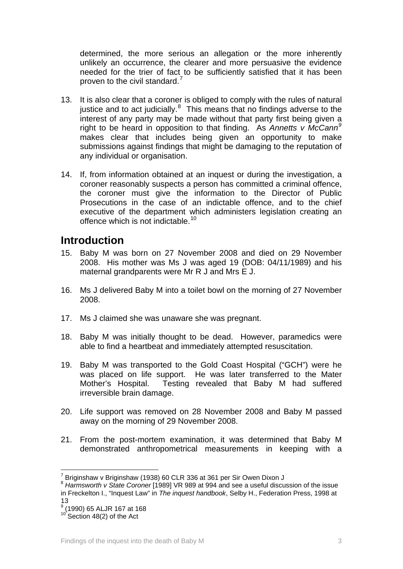determined, the more serious an allegation or the more inherently unlikely an occurrence, the clearer and more persuasive the evidence needed for the trier of fact to be sufficiently satisfied that it has been proven to the civil standard.<sup>[7](#page-2-5)</sup>

- 13. It is also clear that a coroner is obliged to comply with the rules of natural justice and to act judicially. $8$  This means that no findings adverse to the interest of any party may be made without that party first being given a right to be heard in opposition to that finding. As *Annetts v McCann[9](#page-3-1)* makes clear that includes being given an opportunity to make submissions against findings that might be damaging to the reputation of any individual or organisation.
- 14. If, from information obtained at an inquest or during the investigation, a coroner reasonably suspects a person has committed a criminal offence, the coroner must give the information to the Director of Public Prosecutions in the case of an indictable offence, and to the chief executive of the department which administers legislation creating an offence which is not indictable.<sup>10</sup>

# **Introduction**

- 15. Baby M was born on 27 November 2008 and died on 29 November 2008. His mother was Ms J was aged 19 (DOB: 04/11/1989) and his maternal grandparents were Mr R J and Mrs E J.
- 16. Ms J delivered Baby M into a toilet bowl on the morning of 27 November 2008.
- 17. Ms J claimed she was unaware she was pregnant.
- 18. Baby M was initially thought to be dead. However, paramedics were able to find a heartbeat and immediately attempted resuscitation.
- 19. Baby M was transported to the Gold Coast Hospital ("GCH") were he was placed on life support. He was later transferred to the Mater Mother's Hospital. Testing revealed that Baby M had suffered irreversible brain damage.
- 20. Life support was removed on 28 November 2008 and Baby M passed away on the morning of 29 November 2008.
- 21. From the post-mortem examination, it was determined that Baby M demonstrated anthropometrical measurements in keeping with a

l

 $^7$  Briginshaw v Briginshaw (1938) 60 CLR 336 at 361 per Sir Owen Dixon J

<span id="page-3-0"></span><sup>8</sup> *Harmsworth v State Coroner* [1989] VR 989 at 994 and see a useful discussion of the issue in Freckelton I., "Inquest Law" in *The inquest handbook*, Selby H., Federation Press, 1998 at 13

<span id="page-3-1"></span><sup>9</sup> (1990) 65 ALJR 167 at 168

<span id="page-3-2"></span> $10^{10}$  Section 48(2) of the Act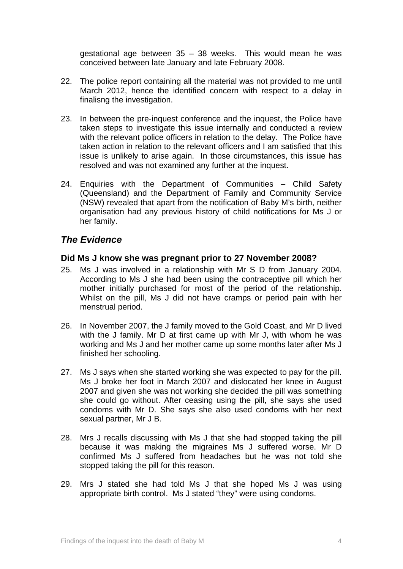gestational age between  $35 - 38$  weeks. This would mean he was conceived between late January and late February 2008.

- 22. The police report containing all the material was not provided to me until March 2012, hence the identified concern with respect to a delay in finalisng the investigation.
- 23. In between the pre-inquest conference and the inquest, the Police have taken steps to investigate this issue internally and conducted a review with the relevant police officers in relation to the delay. The Police have taken action in relation to the relevant officers and I am satisfied that this issue is unlikely to arise again. In those circumstances, this issue has resolved and was not examined any further at the inquest.
- 24. Enquiries with the Department of Communities Child Safety (Queensland) and the Department of Family and Community Service (NSW) revealed that apart from the notification of Baby M's birth, neither organisation had any previous history of child notifications for Ms J or her family.

## *The Evidence*

#### **Did Ms J know she was pregnant prior to 27 November 2008?**

- 25. Ms J was involved in a relationship with Mr S D from January 2004. According to Ms J she had been using the contraceptive pill which her mother initially purchased for most of the period of the relationship. Whilst on the pill, Ms J did not have cramps or period pain with her menstrual period.
- 26. In November 2007, the J family moved to the Gold Coast, and Mr D lived with the J family. Mr D at first came up with Mr J, with whom he was working and Ms J and her mother came up some months later after Ms J finished her schooling.
- 27. Ms J says when she started working she was expected to pay for the pill. Ms J broke her foot in March 2007 and dislocated her knee in August 2007 and given she was not working she decided the pill was something she could go without. After ceasing using the pill, she says she used condoms with Mr D. She says she also used condoms with her next sexual partner, Mr J B.
- 28. Mrs J recalls discussing with Ms J that she had stopped taking the pill because it was making the migraines Ms J suffered worse. Mr D confirmed Ms J suffered from headaches but he was not told she stopped taking the pill for this reason.
- 29. Mrs J stated she had told Ms J that she hoped Ms J was using appropriate birth control. Ms J stated "they" were using condoms.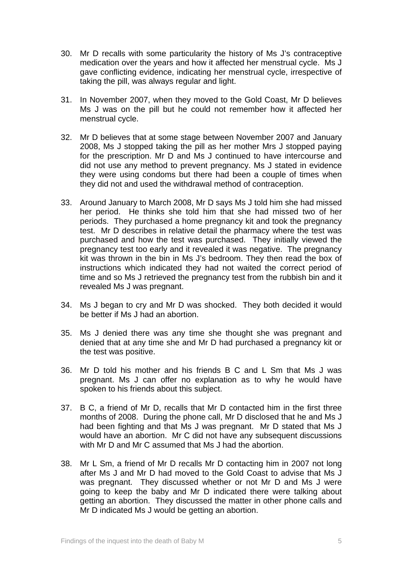- 30. Mr D recalls with some particularity the history of Ms J's contraceptive medication over the years and how it affected her menstrual cycle. Ms J gave conflicting evidence, indicating her menstrual cycle, irrespective of taking the pill, was always regular and light.
- 31. In November 2007, when they moved to the Gold Coast, Mr D believes Ms J was on the pill but he could not remember how it affected her menstrual cycle.
- 32. Mr D believes that at some stage between November 2007 and January 2008, Ms J stopped taking the pill as her mother Mrs J stopped paying for the prescription. Mr D and Ms J continued to have intercourse and did not use any method to prevent pregnancy. Ms J stated in evidence they were using condoms but there had been a couple of times when they did not and used the withdrawal method of contraception.
- 33. Around January to March 2008, Mr D says Ms J told him she had missed her period. He thinks she told him that she had missed two of her periods. They purchased a home pregnancy kit and took the pregnancy test. Mr D describes in relative detail the pharmacy where the test was purchased and how the test was purchased. They initially viewed the pregnancy test too early and it revealed it was negative. The pregnancy kit was thrown in the bin in Ms J's bedroom. They then read the box of instructions which indicated they had not waited the correct period of time and so Ms J retrieved the pregnancy test from the rubbish bin and it revealed Ms J was pregnant.
- 34. Ms J began to cry and Mr D was shocked. They both decided it would be better if Ms J had an abortion.
- 35. Ms J denied there was any time she thought she was pregnant and denied that at any time she and Mr D had purchased a pregnancy kit or the test was positive.
- 36. Mr D told his mother and his friends B C and L Sm that Ms J was pregnant. Ms J can offer no explanation as to why he would have spoken to his friends about this subject.
- 37. B C, a friend of Mr D, recalls that Mr D contacted him in the first three months of 2008. During the phone call, Mr D disclosed that he and Ms J had been fighting and that Ms J was pregnant. Mr D stated that Ms J would have an abortion. Mr C did not have any subsequent discussions with Mr D and Mr C assumed that Ms J had the abortion.
- 38. Mr L Sm, a friend of Mr D recalls Mr D contacting him in 2007 not long after Ms J and Mr D had moved to the Gold Coast to advise that Ms J was pregnant. They discussed whether or not Mr D and Ms J were going to keep the baby and Mr D indicated there were talking about getting an abortion. They discussed the matter in other phone calls and Mr D indicated Ms J would be getting an abortion.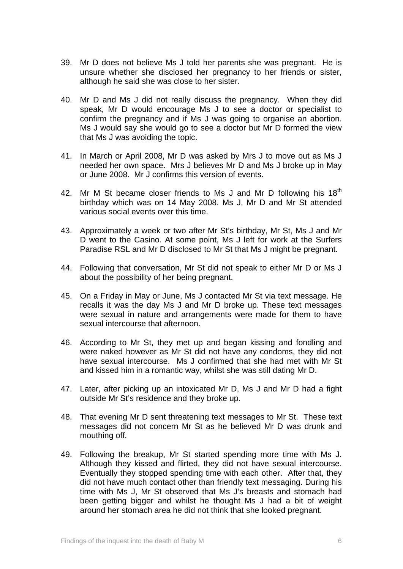- 39. Mr D does not believe Ms J told her parents she was pregnant. He is unsure whether she disclosed her pregnancy to her friends or sister, although he said she was close to her sister.
- 40. Mr D and Ms J did not really discuss the pregnancy. When they did speak, Mr D would encourage Ms J to see a doctor or specialist to confirm the pregnancy and if Ms J was going to organise an abortion. Ms J would say she would go to see a doctor but Mr D formed the view that Ms J was avoiding the topic.
- 41. In March or April 2008, Mr D was asked by Mrs J to move out as Ms J needed her own space. Mrs J believes Mr D and Ms J broke up in May or June 2008. Mr J confirms this version of events.
- 42. Mr M St became closer friends to Ms J and Mr D following his  $18<sup>th</sup>$ birthday which was on 14 May 2008. Ms J, Mr D and Mr St attended various social events over this time.
- 43. Approximately a week or two after Mr St's birthday, Mr St, Ms J and Mr D went to the Casino. At some point, Ms J left for work at the Surfers Paradise RSL and Mr D disclosed to Mr St that Ms J might be pregnant.
- 44. Following that conversation, Mr St did not speak to either Mr D or Ms J about the possibility of her being pregnant.
- 45. On a Friday in May or June, Ms J contacted Mr St via text message. He recalls it was the day Ms J and Mr D broke up. These text messages were sexual in nature and arrangements were made for them to have sexual intercourse that afternoon.
- 46. According to Mr St, they met up and began kissing and fondling and were naked however as Mr St did not have any condoms, they did not have sexual intercourse. Ms J confirmed that she had met with Mr St and kissed him in a romantic way, whilst she was still dating Mr D.
- 47. Later, after picking up an intoxicated Mr D, Ms J and Mr D had a fight outside Mr St's residence and they broke up.
- 48. That evening Mr D sent threatening text messages to Mr St. These text messages did not concern Mr St as he believed Mr D was drunk and mouthing off.
- 49. Following the breakup, Mr St started spending more time with Ms J. Although they kissed and flirted, they did not have sexual intercourse. Eventually they stopped spending time with each other. After that, they did not have much contact other than friendly text messaging. During his time with Ms J, Mr St observed that Ms J's breasts and stomach had been getting bigger and whilst he thought Ms J had a bit of weight around her stomach area he did not think that she looked pregnant.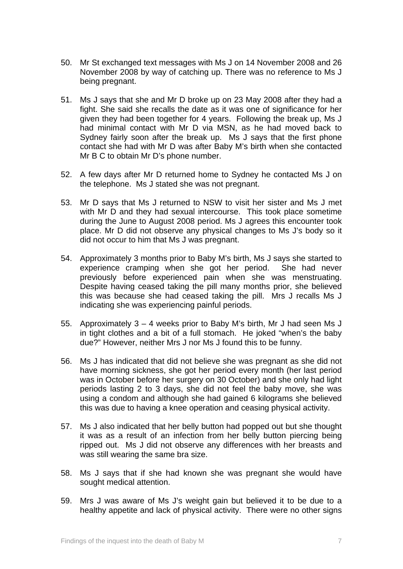- 50. Mr St exchanged text messages with Ms J on 14 November 2008 and 26 November 2008 by way of catching up. There was no reference to Ms J being pregnant.
- 51. Ms J says that she and Mr D broke up on 23 May 2008 after they had a fight. She said she recalls the date as it was one of significance for her given they had been together for 4 years. Following the break up, Ms J had minimal contact with Mr D via MSN, as he had moved back to Sydney fairly soon after the break up. Ms J says that the first phone contact she had with Mr D was after Baby M's birth when she contacted Mr B C to obtain Mr D's phone number.
- 52. A few days after Mr D returned home to Sydney he contacted Ms J on the telephone. Ms J stated she was not pregnant.
- 53. Mr D says that Ms J returned to NSW to visit her sister and Ms J met with Mr D and they had sexual intercourse. This took place sometime during the June to August 2008 period. Ms J agrees this encounter took place. Mr D did not observe any physical changes to Ms J's body so it did not occur to him that Ms J was pregnant.
- 54. Approximately 3 months prior to Baby M's birth, Ms J says she started to experience cramping when she got her period. She had never previously before experienced pain when she was menstruating. Despite having ceased taking the pill many months prior, she believed this was because she had ceased taking the pill. Mrs J recalls Ms J indicating she was experiencing painful periods.
- 55. Approximately 3 4 weeks prior to Baby M's birth, Mr J had seen Ms J in tight clothes and a bit of a full stomach. He joked "when's the baby due?" However, neither Mrs J nor Ms J found this to be funny.
- 56. Ms J has indicated that did not believe she was pregnant as she did not have morning sickness, she got her period every month (her last period was in October before her surgery on 30 October) and she only had light periods lasting 2 to 3 days, she did not feel the baby move, she was using a condom and although she had gained 6 kilograms she believed this was due to having a knee operation and ceasing physical activity.
- 57. Ms J also indicated that her belly button had popped out but she thought it was as a result of an infection from her belly button piercing being ripped out. Ms J did not observe any differences with her breasts and was still wearing the same bra size.
- 58. Ms J says that if she had known she was pregnant she would have sought medical attention.
- 59. Mrs J was aware of Ms J's weight gain but believed it to be due to a healthy appetite and lack of physical activity. There were no other signs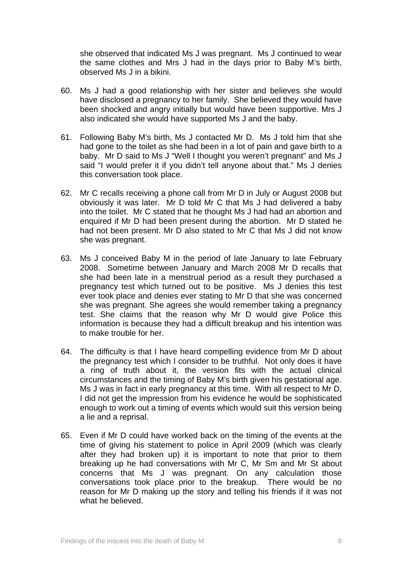she observed that indicated Ms J was pregnant. Ms J continued to wear the same clothes and Mrs J had in the days prior to Baby M's birth, observed Ms J in a bikini.

- 60. Ms J had a good relationship with her sister and believes she would have disclosed a pregnancy to her family. She believed they would have been shocked and angry initially but would have been supportive. Mrs J also indicated she would have supported Ms J and the baby.
- 61. Following Baby M's birth, Ms J contacted Mr D. Ms J told him that she had gone to the toilet as she had been in a lot of pain and gave birth to a baby. Mr D said to Ms J "Well I thought you weren't pregnant" and Ms J said "I would prefer it if you didn't tell anyone about that." Ms J denies this conversation took place.
- 62. Mr C recalls receiving a phone call from Mr D in July or August 2008 but obviously it was later. Mr D told Mr C that Ms J had delivered a baby into the toilet. Mr C stated that he thought Ms J had had an abortion and enquired if Mr D had been present during the abortion. Mr D stated he had not been present. Mr D also stated to Mr C that Ms J did not know she was pregnant.
- 63. Ms J conceived Baby M in the period of late January to late February 2008. Sometime between January and March 2008 Mr D recalls that she had been late in a menstrual period as a result they purchased a pregnancy test which turned out to be positive. Ms J denies this test ever took place and denies ever stating to Mr D that she was concerned she was pregnant. She agrees she would remember taking a pregnancy test. She claims that the reason why Mr D would give Police this information is because they had a difficult breakup and his intention was to make trouble for her.
- 64. The difficulty is that I have heard compelling evidence from Mr D about the pregnancy test which I consider to be truthful. Not only does it have a ring of truth about it, the version fits with the actual clinical circumstances and the timing of Baby M's birth given his gestational age. Ms J was in fact in early pregnancy at this time. With all respect to Mr D, I did not get the impression from his evidence he would be sophisticated enough to work out a timing of events which would suit this version being a lie and a reprisal.
- 65. Even if Mr D could have worked back on the timing of the events at the time of giving his statement to police in April 2009 (which was clearly after they had broken up) it is important to note that prior to them breaking up he had conversations with Mr C, Mr Sm and Mr St about concerns that Ms J was pregnant. On any calculation those conversations took place prior to the breakup. There would be no reason for Mr D making up the story and telling his friends if it was not what he believed.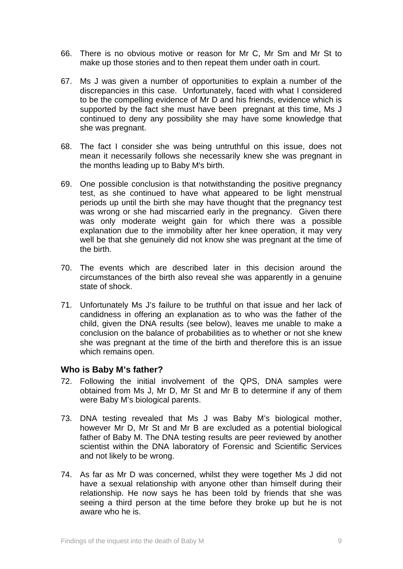- 66. There is no obvious motive or reason for Mr C, Mr Sm and Mr St to make up those stories and to then repeat them under oath in court.
- 67. Ms J was given a number of opportunities to explain a number of the discrepancies in this case. Unfortunately, faced with what I considered to be the compelling evidence of Mr D and his friends, evidence which is supported by the fact she must have been pregnant at this time, Ms J continued to deny any possibility she may have some knowledge that she was pregnant.
- 68. The fact I consider she was being untruthful on this issue, does not mean it necessarily follows she necessarily knew she was pregnant in the months leading up to Baby M's birth.
- 69. One possible conclusion is that notwithstanding the positive pregnancy test, as she continued to have what appeared to be light menstrual periods up until the birth she may have thought that the pregnancy test was wrong or she had miscarried early in the pregnancy. Given there was only moderate weight gain for which there was a possible explanation due to the immobility after her knee operation, it may very well be that she genuinely did not know she was pregnant at the time of the birth.
- 70. The events which are described later in this decision around the circumstances of the birth also reveal she was apparently in a genuine state of shock.
- 71. Unfortunately Ms J's failure to be truthful on that issue and her lack of candidness in offering an explanation as to who was the father of the child, given the DNA results (see below), leaves me unable to make a conclusion on the balance of probabilities as to whether or not she knew she was pregnant at the time of the birth and therefore this is an issue which remains open.

### **Who is Baby M's father?**

- 72. Following the initial involvement of the QPS, DNA samples were obtained from Ms J, Mr D, Mr St and Mr B to determine if any of them were Baby M's biological parents.
- 73. DNA testing revealed that Ms J was Baby M's biological mother, however Mr D, Mr St and Mr B are excluded as a potential biological father of Baby M. The DNA testing results are peer reviewed by another scientist within the DNA laboratory of Forensic and Scientific Services and not likely to be wrong.
- 74. As far as Mr D was concerned, whilst they were together Ms J did not have a sexual relationship with anyone other than himself during their relationship. He now says he has been told by friends that she was seeing a third person at the time before they broke up but he is not aware who he is.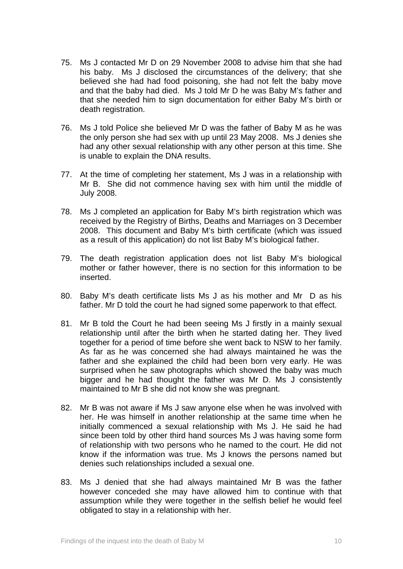- 75. Ms J contacted Mr D on 29 November 2008 to advise him that she had his baby. Ms J disclosed the circumstances of the delivery; that she believed she had had food poisoning, she had not felt the baby move and that the baby had died. Ms J told Mr D he was Baby M's father and that she needed him to sign documentation for either Baby M's birth or death registration.
- 76. Ms J told Police she believed Mr D was the father of Baby M as he was the only person she had sex with up until 23 May 2008. Ms J denies she had any other sexual relationship with any other person at this time. She is unable to explain the DNA results.
- 77. At the time of completing her statement, Ms J was in a relationship with Mr B. She did not commence having sex with him until the middle of July 2008.
- 78. Ms J completed an application for Baby M's birth registration which was received by the Registry of Births, Deaths and Marriages on 3 December 2008. This document and Baby M's birth certificate (which was issued as a result of this application) do not list Baby M's biological father.
- 79. The death registration application does not list Baby M's biological mother or father however, there is no section for this information to be inserted.
- 80. Baby M's death certificate lists Ms J as his mother and Mr D as his father. Mr D told the court he had signed some paperwork to that effect.
- 81. Mr B told the Court he had been seeing Ms J firstly in a mainly sexual relationship until after the birth when he started dating her. They lived together for a period of time before she went back to NSW to her family. As far as he was concerned she had always maintained he was the father and she explained the child had been born very early. He was surprised when he saw photographs which showed the baby was much bigger and he had thought the father was Mr D. Ms J consistently maintained to Mr B she did not know she was pregnant.
- 82. Mr B was not aware if Ms J saw anyone else when he was involved with her. He was himself in another relationship at the same time when he initially commenced a sexual relationship with Ms J. He said he had since been told by other third hand sources Ms J was having some form of relationship with two persons who he named to the court. He did not know if the information was true. Ms J knows the persons named but denies such relationships included a sexual one.
- 83. Ms J denied that she had always maintained Mr B was the father however conceded she may have allowed him to continue with that assumption while they were together in the selfish belief he would feel obligated to stay in a relationship with her.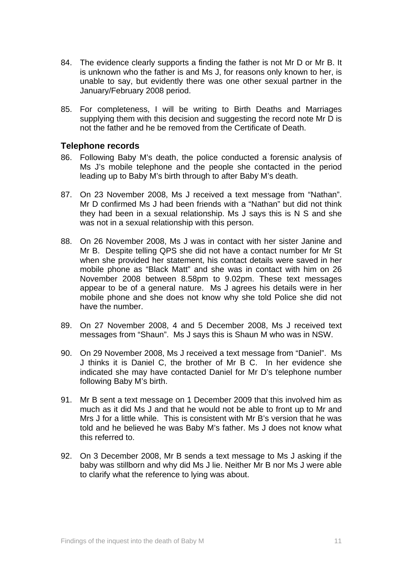- 84. The evidence clearly supports a finding the father is not Mr D or Mr B. It is unknown who the father is and Ms J, for reasons only known to her, is unable to say, but evidently there was one other sexual partner in the January/February 2008 period.
- 85. For completeness, I will be writing to Birth Deaths and Marriages supplying them with this decision and suggesting the record note Mr D is not the father and he be removed from the Certificate of Death.

#### **Telephone records**

- 86. Following Baby M's death, the police conducted a forensic analysis of Ms J's mobile telephone and the people she contacted in the period leading up to Baby M's birth through to after Baby M's death.
- 87. On 23 November 2008, Ms J received a text message from "Nathan". Mr D confirmed Ms J had been friends with a "Nathan" but did not think they had been in a sexual relationship. Ms J says this is N S and she was not in a sexual relationship with this person.
- 88. On 26 November 2008, Ms J was in contact with her sister Janine and Mr B. Despite telling QPS she did not have a contact number for Mr St when she provided her statement, his contact details were saved in her mobile phone as "Black Matt" and she was in contact with him on 26 November 2008 between 8.58pm to 9.02pm. These text messages appear to be of a general nature. Ms J agrees his details were in her mobile phone and she does not know why she told Police she did not have the number.
- 89. On 27 November 2008, 4 and 5 December 2008, Ms J received text messages from "Shaun". Ms J says this is Shaun M who was in NSW.
- 90. On 29 November 2008, Ms J received a text message from "Daniel". Ms J thinks it is Daniel C, the brother of Mr B C. In her evidence she indicated she may have contacted Daniel for Mr D's telephone number following Baby M's birth.
- 91. Mr B sent a text message on 1 December 2009 that this involved him as much as it did Ms J and that he would not be able to front up to Mr and Mrs J for a little while. This is consistent with Mr B's version that he was told and he believed he was Baby M's father. Ms J does not know what this referred to.
- 92. On 3 December 2008, Mr B sends a text message to Ms J asking if the baby was stillborn and why did Ms J lie. Neither Mr B nor Ms J were able to clarify what the reference to lying was about.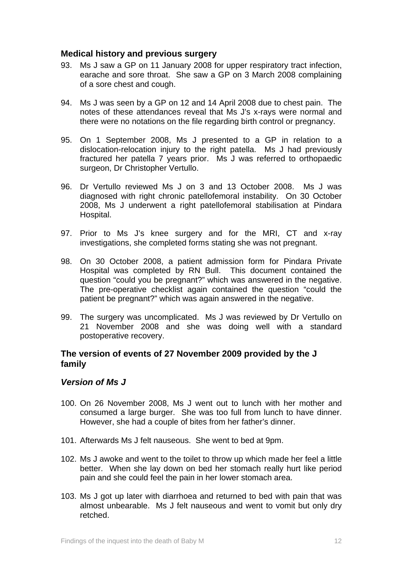#### **Medical history and previous surgery**

- 93. Ms J saw a GP on 11 January 2008 for upper respiratory tract infection, earache and sore throat. She saw a GP on 3 March 2008 complaining of a sore chest and cough.
- 94. Ms J was seen by a GP on 12 and 14 April 2008 due to chest pain. The notes of these attendances reveal that Ms J's x-rays were normal and there were no notations on the file regarding birth control or pregnancy.
- 95. On 1 September 2008, Ms J presented to a GP in relation to a dislocation-relocation injury to the right patella. Ms J had previously fractured her patella 7 years prior. Ms J was referred to orthopaedic surgeon, Dr Christopher Vertullo.
- 96. Dr Vertullo reviewed Ms J on 3 and 13 October 2008. Ms J was diagnosed with right chronic patellofemoral instability. On 30 October 2008, Ms J underwent a right patellofemoral stabilisation at Pindara Hospital.
- 97. Prior to Ms J's knee surgery and for the MRI, CT and x-ray investigations, she completed forms stating she was not pregnant.
- 98. On 30 October 2008, a patient admission form for Pindara Private Hospital was completed by RN Bull. This document contained the question "could you be pregnant?" which was answered in the negative. The pre-operative checklist again contained the question "could the patient be pregnant?" which was again answered in the negative.
- 99. The surgery was uncomplicated. Ms J was reviewed by Dr Vertullo on 21 November 2008 and she was doing well with a standard postoperative recovery.

#### **The version of events of 27 November 2009 provided by the J family**

#### *Version of Ms J*

- 100. On 26 November 2008, Ms J went out to lunch with her mother and consumed a large burger. She was too full from lunch to have dinner. However, she had a couple of bites from her father's dinner.
- 101. Afterwards Ms J felt nauseous. She went to bed at 9pm.
- 102. Ms J awoke and went to the toilet to throw up which made her feel a little better. When she lay down on bed her stomach really hurt like period pain and she could feel the pain in her lower stomach area.
- 103. Ms J got up later with diarrhoea and returned to bed with pain that was almost unbearable. Ms J felt nauseous and went to vomit but only dry retched.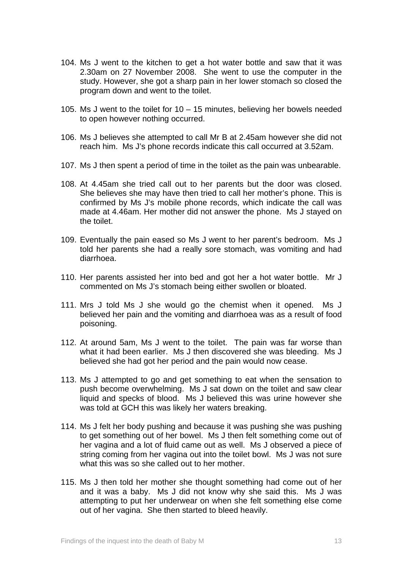- 104. Ms J went to the kitchen to get a hot water bottle and saw that it was 2.30am on 27 November 2008. She went to use the computer in the study. However, she got a sharp pain in her lower stomach so closed the program down and went to the toilet.
- 105. Ms J went to the toilet for 10 15 minutes, believing her bowels needed to open however nothing occurred.
- 106. Ms J believes she attempted to call Mr B at 2.45am however she did not reach him. Ms J's phone records indicate this call occurred at 3.52am.
- 107. Ms J then spent a period of time in the toilet as the pain was unbearable.
- 108. At 4.45am she tried call out to her parents but the door was closed. She believes she may have then tried to call her mother's phone. This is confirmed by Ms J's mobile phone records, which indicate the call was made at 4.46am. Her mother did not answer the phone. Ms J stayed on the toilet.
- 109. Eventually the pain eased so Ms J went to her parent's bedroom. Ms J told her parents she had a really sore stomach, was vomiting and had diarrhoea.
- 110. Her parents assisted her into bed and got her a hot water bottle. Mr J commented on Ms J's stomach being either swollen or bloated.
- 111. Mrs J told Ms J she would go the chemist when it opened. Ms J believed her pain and the vomiting and diarrhoea was as a result of food poisoning.
- 112. At around 5am, Ms J went to the toilet. The pain was far worse than what it had been earlier. Ms J then discovered she was bleeding. Ms J believed she had got her period and the pain would now cease.
- 113. Ms J attempted to go and get something to eat when the sensation to push become overwhelming. Ms J sat down on the toilet and saw clear liquid and specks of blood. Ms J believed this was urine however she was told at GCH this was likely her waters breaking.
- 114. Ms J felt her body pushing and because it was pushing she was pushing to get something out of her bowel. Ms J then felt something come out of her vagina and a lot of fluid came out as well. Ms J observed a piece of string coming from her vagina out into the toilet bowl. Ms J was not sure what this was so she called out to her mother.
- 115. Ms J then told her mother she thought something had come out of her and it was a baby. Ms J did not know why she said this. Ms J was attempting to put her underwear on when she felt something else come out of her vagina. She then started to bleed heavily.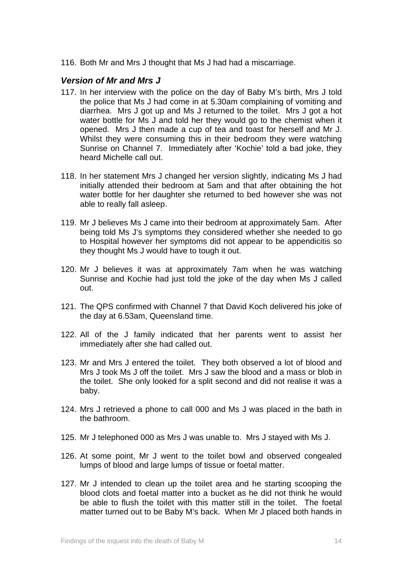116. Both Mr and Mrs J thought that Ms J had had a miscarriage.

#### *Version of Mr and Mrs J*

- 117. In her interview with the police on the day of Baby M's birth, Mrs J told the police that Ms J had come in at 5.30am complaining of vomiting and diarrhea. Mrs J got up and Ms J returned to the toilet. Mrs J got a hot water bottle for Ms J and told her they would go to the chemist when it opened. Mrs J then made a cup of tea and toast for herself and Mr J. Whilst they were consuming this in their bedroom they were watching Sunrise on Channel 7. Immediately after 'Kochie' told a bad joke, they heard Michelle call out.
- 118. In her statement Mrs J changed her version slightly, indicating Ms J had initially attended their bedroom at 5am and that after obtaining the hot water bottle for her daughter she returned to bed however she was not able to really fall asleep.
- 119. Mr J believes Ms J came into their bedroom at approximately 5am. After being told Ms J's symptoms they considered whether she needed to go to Hospital however her symptoms did not appear to be appendicitis so they thought Ms J would have to tough it out.
- 120. Mr J believes it was at approximately 7am when he was watching Sunrise and Kochie had just told the joke of the day when Ms J called out.
- 121. The QPS confirmed with Channel 7 that David Koch delivered his joke of the day at 6.53am, Queensland time.
- 122. All of the J family indicated that her parents went to assist her immediately after she had called out.
- 123. Mr and Mrs J entered the toilet. They both observed a lot of blood and Mrs J took Ms J off the toilet. Mrs J saw the blood and a mass or blob in the toilet. She only looked for a split second and did not realise it was a baby.
- 124. Mrs J retrieved a phone to call 000 and Ms J was placed in the bath in the bathroom.
- 125. Mr J telephoned 000 as Mrs J was unable to. Mrs J stayed with Ms J.
- 126. At some point, Mr J went to the toilet bowl and observed congealed lumps of blood and large lumps of tissue or foetal matter.
- 127. Mr J intended to clean up the toilet area and he starting scooping the blood clots and foetal matter into a bucket as he did not think he would be able to flush the toilet with this matter still in the toilet. The foetal matter turned out to be Baby M's back. When Mr J placed both hands in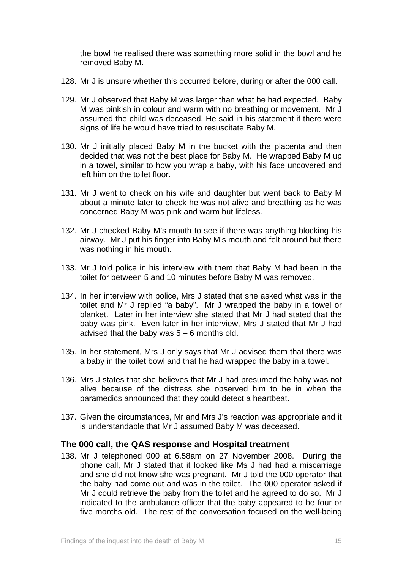the bowl he realised there was something more solid in the bowl and he removed Baby M.

- 128. Mr J is unsure whether this occurred before, during or after the 000 call.
- 129. Mr J observed that Baby M was larger than what he had expected. Baby M was pinkish in colour and warm with no breathing or movement. Mr J assumed the child was deceased. He said in his statement if there were signs of life he would have tried to resuscitate Baby M.
- 130. Mr J initially placed Baby M in the bucket with the placenta and then decided that was not the best place for Baby M. He wrapped Baby M up in a towel, similar to how you wrap a baby, with his face uncovered and left him on the toilet floor.
- 131. Mr J went to check on his wife and daughter but went back to Baby M about a minute later to check he was not alive and breathing as he was concerned Baby M was pink and warm but lifeless.
- 132. Mr J checked Baby M's mouth to see if there was anything blocking his airway. Mr J put his finger into Baby M's mouth and felt around but there was nothing in his mouth.
- 133. Mr J told police in his interview with them that Baby M had been in the toilet for between 5 and 10 minutes before Baby M was removed.
- 134. In her interview with police, Mrs J stated that she asked what was in the toilet and Mr J replied "a baby". Mr J wrapped the baby in a towel or blanket. Later in her interview she stated that Mr J had stated that the baby was pink. Even later in her interview, Mrs J stated that Mr J had advised that the baby was  $5 - 6$  months old.
- 135. In her statement, Mrs J only says that Mr J advised them that there was a baby in the toilet bowl and that he had wrapped the baby in a towel.
- 136. Mrs J states that she believes that Mr J had presumed the baby was not alive because of the distress she observed him to be in when the paramedics announced that they could detect a heartbeat.
- 137. Given the circumstances, Mr and Mrs J's reaction was appropriate and it is understandable that Mr J assumed Baby M was deceased.

#### **The 000 call, the QAS response and Hospital treatment**

138. Mr J telephoned 000 at 6.58am on 27 November 2008. During the phone call, Mr J stated that it looked like Ms J had had a miscarriage and she did not know she was pregnant. Mr J told the 000 operator that the baby had come out and was in the toilet. The 000 operator asked if Mr J could retrieve the baby from the toilet and he agreed to do so. Mr J indicated to the ambulance officer that the baby appeared to be four or five months old. The rest of the conversation focused on the well-being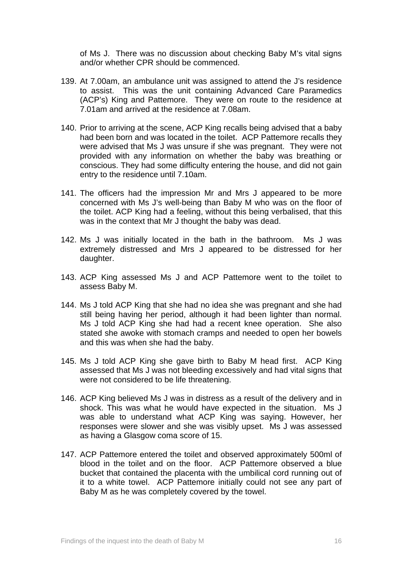of Ms J. There was no discussion about checking Baby M's vital signs and/or whether CPR should be commenced.

- 139. At 7.00am, an ambulance unit was assigned to attend the J's residence to assist. This was the unit containing Advanced Care Paramedics (ACP's) King and Pattemore. They were on route to the residence at 7.01am and arrived at the residence at 7.08am.
- 140. Prior to arriving at the scene, ACP King recalls being advised that a baby had been born and was located in the toilet. ACP Pattemore recalls they were advised that Ms J was unsure if she was pregnant. They were not provided with any information on whether the baby was breathing or conscious. They had some difficulty entering the house, and did not gain entry to the residence until 7.10am.
- 141. The officers had the impression Mr and Mrs J appeared to be more concerned with Ms J's well-being than Baby M who was on the floor of the toilet. ACP King had a feeling, without this being verbalised, that this was in the context that Mr J thought the baby was dead.
- 142. Ms J was initially located in the bath in the bathroom. Ms J was extremely distressed and Mrs J appeared to be distressed for her daughter.
- 143. ACP King assessed Ms J and ACP Pattemore went to the toilet to assess Baby M.
- 144. Ms J told ACP King that she had no idea she was pregnant and she had still being having her period, although it had been lighter than normal. Ms J told ACP King she had had a recent knee operation. She also stated she awoke with stomach cramps and needed to open her bowels and this was when she had the baby.
- 145. Ms J told ACP King she gave birth to Baby M head first. ACP King assessed that Ms J was not bleeding excessively and had vital signs that were not considered to be life threatening.
- 146. ACP King believed Ms J was in distress as a result of the delivery and in shock. This was what he would have expected in the situation. Ms J was able to understand what ACP King was saying. However, her responses were slower and she was visibly upset. Ms J was assessed as having a Glasgow coma score of 15.
- 147. ACP Pattemore entered the toilet and observed approximately 500ml of blood in the toilet and on the floor. ACP Pattemore observed a blue bucket that contained the placenta with the umbilical cord running out of it to a white towel. ACP Pattemore initially could not see any part of Baby M as he was completely covered by the towel.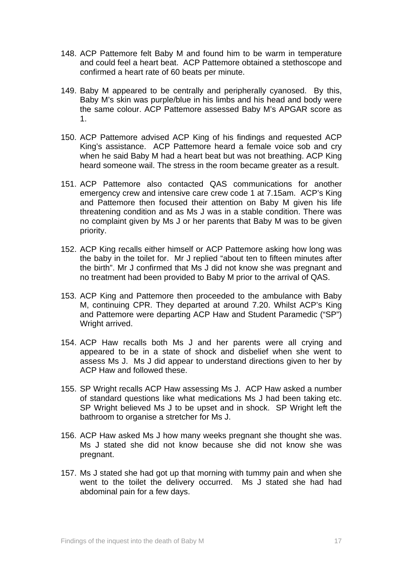- 148. ACP Pattemore felt Baby M and found him to be warm in temperature and could feel a heart beat. ACP Pattemore obtained a stethoscope and confirmed a heart rate of 60 beats per minute.
- 149. Baby M appeared to be centrally and peripherally cyanosed. By this, Baby M's skin was purple/blue in his limbs and his head and body were the same colour. ACP Pattemore assessed Baby M's APGAR score as 1.
- 150. ACP Pattemore advised ACP King of his findings and requested ACP King's assistance. ACP Pattemore heard a female voice sob and cry when he said Baby M had a heart beat but was not breathing. ACP King heard someone wail. The stress in the room became greater as a result.
- 151. ACP Pattemore also contacted QAS communications for another emergency crew and intensive care crew code 1 at 7.15am. ACP's King and Pattemore then focused their attention on Baby M given his life threatening condition and as Ms J was in a stable condition. There was no complaint given by Ms J or her parents that Baby M was to be given priority.
- 152. ACP King recalls either himself or ACP Pattemore asking how long was the baby in the toilet for. Mr J replied "about ten to fifteen minutes after the birth". Mr J confirmed that Ms J did not know she was pregnant and no treatment had been provided to Baby M prior to the arrival of QAS.
- 153. ACP King and Pattemore then proceeded to the ambulance with Baby M, continuing CPR. They departed at around 7.20. Whilst ACP's King and Pattemore were departing ACP Haw and Student Paramedic ("SP") Wright arrived.
- 154. ACP Haw recalls both Ms J and her parents were all crying and appeared to be in a state of shock and disbelief when she went to assess Ms J. Ms J did appear to understand directions given to her by ACP Haw and followed these.
- 155. SP Wright recalls ACP Haw assessing Ms J. ACP Haw asked a number of standard questions like what medications Ms J had been taking etc. SP Wright believed Ms J to be upset and in shock. SP Wright left the bathroom to organise a stretcher for Ms J.
- 156. ACP Haw asked Ms J how many weeks pregnant she thought she was. Ms J stated she did not know because she did not know she was pregnant.
- 157. Ms J stated she had got up that morning with tummy pain and when she went to the toilet the delivery occurred. Ms J stated she had had abdominal pain for a few days.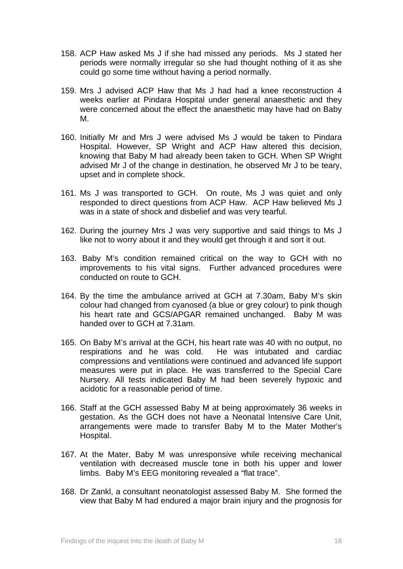- 158. ACP Haw asked Ms J if she had missed any periods. Ms J stated her periods were normally irregular so she had thought nothing of it as she could go some time without having a period normally.
- 159. Mrs J advised ACP Haw that Ms J had had a knee reconstruction 4 weeks earlier at Pindara Hospital under general anaesthetic and they were concerned about the effect the anaesthetic may have had on Baby M.
- 160. Initially Mr and Mrs J were advised Ms J would be taken to Pindara Hospital. However, SP Wright and ACP Haw altered this decision, knowing that Baby M had already been taken to GCH. When SP Wright advised Mr J of the change in destination, he observed Mr J to be teary, upset and in complete shock.
- 161. Ms J was transported to GCH. On route, Ms J was quiet and only responded to direct questions from ACP Haw. ACP Haw believed Ms J was in a state of shock and disbelief and was very tearful.
- 162. During the journey Mrs J was very supportive and said things to Ms J like not to worry about it and they would get through it and sort it out.
- 163. Baby M's condition remained critical on the way to GCH with no improvements to his vital signs. Further advanced procedures were conducted on route to GCH.
- 164. By the time the ambulance arrived at GCH at 7.30am, Baby M's skin colour had changed from cyanosed (a blue or grey colour) to pink though his heart rate and GCS/APGAR remained unchanged. Baby M was handed over to GCH at 7.31am.
- 165. On Baby M's arrival at the GCH, his heart rate was 40 with no output, no respirations and he was cold. He was intubated and cardiac compressions and ventilations were continued and advanced life support measures were put in place. He was transferred to the Special Care Nursery. All tests indicated Baby M had been severely hypoxic and acidotic for a reasonable period of time.
- 166. Staff at the GCH assessed Baby M at being approximately 36 weeks in gestation. As the GCH does not have a Neonatal Intensive Care Unit, arrangements were made to transfer Baby M to the Mater Mother's Hospital.
- 167. At the Mater, Baby M was unresponsive while receiving mechanical ventilation with decreased muscle tone in both his upper and lower limbs. Baby M's EEG monitoring revealed a "flat trace".
- 168. Dr Zankl, a consultant neonatologist assessed Baby M. She formed the view that Baby M had endured a major brain injury and the prognosis for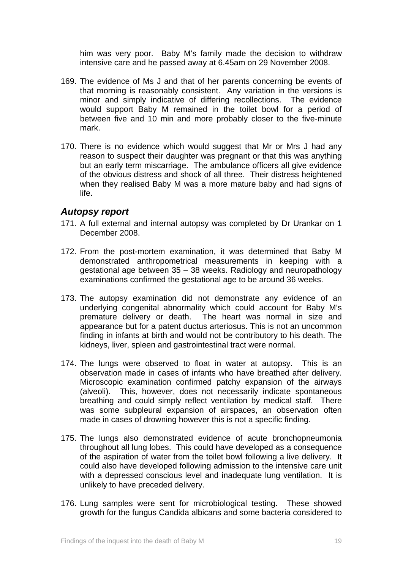him was very poor. Baby M's family made the decision to withdraw intensive care and he passed away at 6.45am on 29 November 2008.

- 169. The evidence of Ms J and that of her parents concerning be events of that morning is reasonably consistent. Any variation in the versions is minor and simply indicative of differing recollections. The evidence would support Baby M remained in the toilet bowl for a period of between five and 10 min and more probably closer to the five-minute mark.
- 170. There is no evidence which would suggest that Mr or Mrs J had any reason to suspect their daughter was pregnant or that this was anything but an early term miscarriage. The ambulance officers all give evidence of the obvious distress and shock of all three. Their distress heightened when they realised Baby M was a more mature baby and had signs of life.

### *Autopsy report*

- 171. A full external and internal autopsy was completed by Dr Urankar on 1 December 2008.
- 172. From the post-mortem examination, it was determined that Baby M demonstrated anthropometrical measurements in keeping with a gestational age between 35 – 38 weeks. Radiology and neuropathology examinations confirmed the gestational age to be around 36 weeks.
- 173. The autopsy examination did not demonstrate any evidence of an underlying congenital abnormality which could account for Baby M's premature delivery or death. The heart was normal in size and appearance but for a patent ductus arteriosus. This is not an uncommon finding in infants at birth and would not be contributory to his death. The kidneys, liver, spleen and gastrointestinal tract were normal.
- 174. The lungs were observed to float in water at autopsy. This is an observation made in cases of infants who have breathed after delivery. Microscopic examination confirmed patchy expansion of the airways (alveoli). This, however, does not necessarily indicate spontaneous breathing and could simply reflect ventilation by medical staff. There was some subpleural expansion of airspaces, an observation often made in cases of drowning however this is not a specific finding.
- 175. The lungs also demonstrated evidence of acute bronchopneumonia throughout all lung lobes. This could have developed as a consequence of the aspiration of water from the toilet bowl following a live delivery. It could also have developed following admission to the intensive care unit with a depressed conscious level and inadequate lung ventilation. It is unlikely to have preceded delivery.
- 176. Lung samples were sent for microbiological testing. These showed growth for the fungus Candida albicans and some bacteria considered to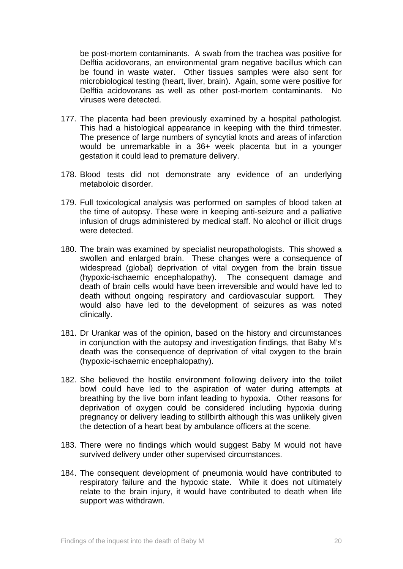be post-mortem contaminants. A swab from the trachea was positive for Delftia acidovorans, an environmental gram negative bacillus which can be found in waste water. Other tissues samples were also sent for microbiological testing (heart, liver, brain). Again, some were positive for Delftia acidovorans as well as other post-mortem contaminants. No viruses were detected.

- 177. The placenta had been previously examined by a hospital pathologist. This had a histological appearance in keeping with the third trimester. The presence of large numbers of syncytial knots and areas of infarction would be unremarkable in a 36+ week placenta but in a younger gestation it could lead to premature delivery.
- 178. Blood tests did not demonstrate any evidence of an underlying metaboloic disorder.
- 179. Full toxicological analysis was performed on samples of blood taken at the time of autopsy. These were in keeping anti-seizure and a palliative infusion of drugs administered by medical staff. No alcohol or illicit drugs were detected.
- 180. The brain was examined by specialist neuropathologists. This showed a swollen and enlarged brain. These changes were a consequence of widespread (global) deprivation of vital oxygen from the brain tissue (hypoxic-ischaemic encephalopathy). The consequent damage and death of brain cells would have been irreversible and would have led to death without ongoing respiratory and cardiovascular support. They would also have led to the development of seizures as was noted clinically.
- 181. Dr Urankar was of the opinion, based on the history and circumstances in conjunction with the autopsy and investigation findings, that Baby M's death was the consequence of deprivation of vital oxygen to the brain (hypoxic-ischaemic encephalopathy).
- 182. She believed the hostile environment following delivery into the toilet bowl could have led to the aspiration of water during attempts at breathing by the live born infant leading to hypoxia. Other reasons for deprivation of oxygen could be considered including hypoxia during pregnancy or delivery leading to stillbirth although this was unlikely given the detection of a heart beat by ambulance officers at the scene.
- 183. There were no findings which would suggest Baby M would not have survived delivery under other supervised circumstances.
- 184. The consequent development of pneumonia would have contributed to respiratory failure and the hypoxic state. While it does not ultimately relate to the brain injury, it would have contributed to death when life support was withdrawn.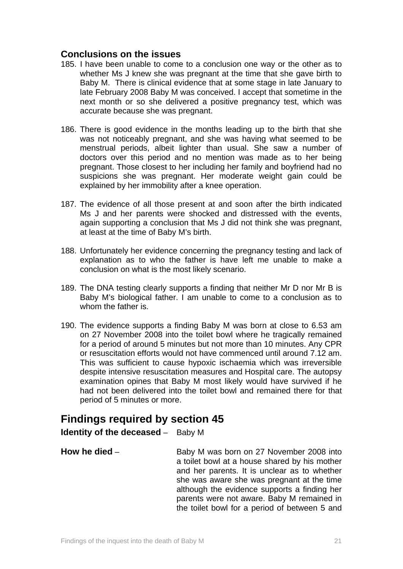## **Conclusions on the issues**

- 185. I have been unable to come to a conclusion one way or the other as to whether Ms J knew she was pregnant at the time that she gave birth to Baby M. There is clinical evidence that at some stage in late January to late February 2008 Baby M was conceived. I accept that sometime in the next month or so she delivered a positive pregnancy test, which was accurate because she was pregnant.
- 186. There is good evidence in the months leading up to the birth that she was not noticeably pregnant, and she was having what seemed to be menstrual periods, albeit lighter than usual. She saw a number of doctors over this period and no mention was made as to her being pregnant. Those closest to her including her family and boyfriend had no suspicions she was pregnant. Her moderate weight gain could be explained by her immobility after a knee operation.
- 187. The evidence of all those present at and soon after the birth indicated Ms J and her parents were shocked and distressed with the events, again supporting a conclusion that Ms J did not think she was pregnant, at least at the time of Baby M's birth.
- 188. Unfortunately her evidence concerning the pregnancy testing and lack of explanation as to who the father is have left me unable to make a conclusion on what is the most likely scenario.
- 189. The DNA testing clearly supports a finding that neither Mr D nor Mr B is Baby M's biological father. I am unable to come to a conclusion as to whom the father is.
- 190. The evidence supports a finding Baby M was born at close to 6.53 am on 27 November 2008 into the toilet bowl where he tragically remained for a period of around 5 minutes but not more than 10 minutes. Any CPR or resuscitation efforts would not have commenced until around 7.12 am. This was sufficient to cause hypoxic ischaemia which was irreversible despite intensive resuscitation measures and Hospital care. The autopsy examination opines that Baby M most likely would have survived if he had not been delivered into the toilet bowl and remained there for that period of 5 minutes or more.

# **Findings required by section 45**

**Identity of the deceased** – Baby M

**How he died** – Baby M was born on 27 November 2008 into a toilet bowl at a house shared by his mother and her parents. It is unclear as to whether she was aware she was pregnant at the time although the evidence supports a finding her parents were not aware. Baby M remained in the toilet bowl for a period of between 5 and